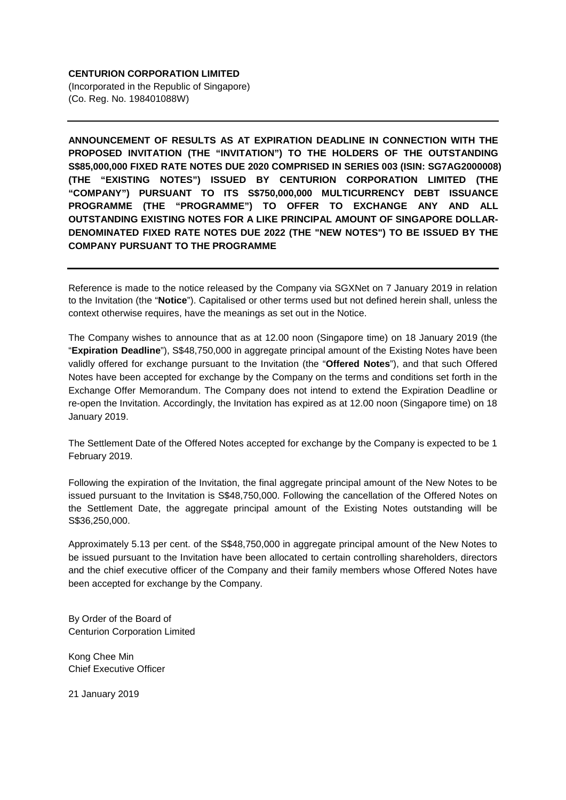## **CENTURION CORPORATION LIMITED**

(Incorporated in the Republic of Singapore) (Co. Reg. No. 198401088W)

**ANNOUNCEMENT OF RESULTS AS AT EXPIRATION DEADLINE IN CONNECTION WITH THE PROPOSED INVITATION (THE "INVITATION") TO THE HOLDERS OF THE OUTSTANDING S\$85,000,000 FIXED RATE NOTES DUE 2020 COMPRISED IN SERIES 003 (ISIN: SG7AG2000008) (THE "EXISTING NOTES") ISSUED BY CENTURION CORPORATION LIMITED (THE "COMPANY") PURSUANT TO ITS S\$750,000,000 MULTICURRENCY DEBT ISSUANCE PROGRAMME (THE "PROGRAMME") TO OFFER TO EXCHANGE ANY AND ALL OUTSTANDING EXISTING NOTES FOR A LIKE PRINCIPAL AMOUNT OF SINGAPORE DOLLAR-DENOMINATED FIXED RATE NOTES DUE 2022 (THE "NEW NOTES") TO BE ISSUED BY THE COMPANY PURSUANT TO THE PROGRAMME**

Reference is made to the notice released by the Company via SGXNet on 7 January 2019 in relation to the Invitation (the "**Notice**"). Capitalised or other terms used but not defined herein shall, unless the context otherwise requires, have the meanings as set out in the Notice.

The Company wishes to announce that as at 12.00 noon (Singapore time) on 18 January 2019 (the "**Expiration Deadline**"), S\$48,750,000 in aggregate principal amount of the Existing Notes have been validly offered for exchange pursuant to the Invitation (the "**Offered Notes**"), and that such Offered Notes have been accepted for exchange by the Company on the terms and conditions set forth in the Exchange Offer Memorandum. The Company does not intend to extend the Expiration Deadline or re-open the Invitation. Accordingly, the Invitation has expired as at 12.00 noon (Singapore time) on 18 January 2019.

The Settlement Date of the Offered Notes accepted for exchange by the Company is expected to be 1 February 2019.

Following the expiration of the Invitation, the final aggregate principal amount of the New Notes to be issued pursuant to the Invitation is S\$48,750,000. Following the cancellation of the Offered Notes on the Settlement Date, the aggregate principal amount of the Existing Notes outstanding will be S\$36,250,000.

Approximately 5.13 per cent. of the S\$48,750,000 in aggregate principal amount of the New Notes to be issued pursuant to the Invitation have been allocated to certain controlling shareholders, directors and the chief executive officer of the Company and their family members whose Offered Notes have been accepted for exchange by the Company.

By Order of the Board of Centurion Corporation Limited

Kong Chee Min Chief Executive Officer

21 January 2019